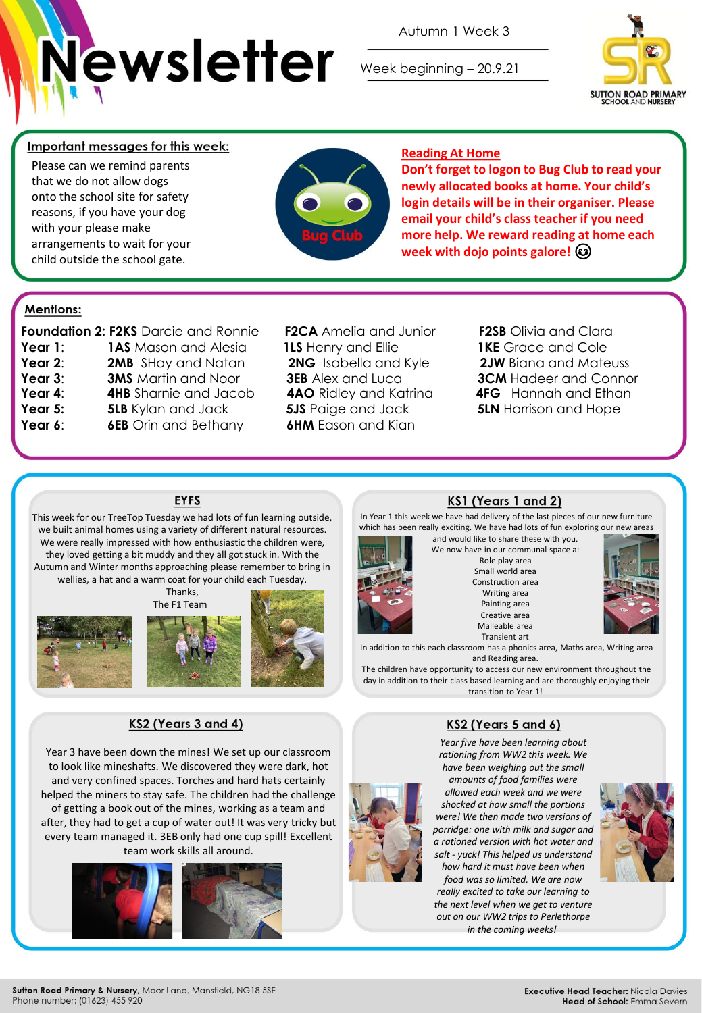

Autumn 1 Week 3

Week beginning – 20.9.21



## Important messages for this week:

Please can we remind parents that we do not allow dogs onto the school site for safety reasons, if you have your dog with your please make arrangements to wait for your child outside the school gate.



## **Reading At Home**

**Don't forget to logon to Bug Club to read your newly allocated books at home. Your child's login details will be in their organiser. Please email your child's class teacher if you need more help. We reward reading at home each week with dojo points galore!**

## **Mentions:**

|         | <b>Foundation 2: F2KS Darcie and Ronnie</b> |
|---------|---------------------------------------------|
| Year 1: | <b>1AS</b> Mason and Alesia                 |
| Year 2: | <b>2MB</b> SHay and Natan                   |
| Year 3: | <b>3MS</b> Martin and Noor                  |
| Year 4: | <b>4HB</b> Sharnie and Jacob                |
| Year 5: | <b>5LB</b> Kylan and Jack                   |
| Year 6: | <b>6EB</b> Orin and Bethany                 |
|         |                                             |

**Foundation 2: F2KS** Darcie and Ronnie **F2CA** Amelia and Junior **F2SB** Olivia and Clara **1LS** Henry and Ellie **1KE** Grace and Cole **5JS** Paige and Jack **5LN** Harrison and Hope **6HM** Eason and Kian

**2NG** Isabella and Kyle **2JW** Biana and Mateuss **3EB** Alex and Luca **3CM** Hadeer and Connor **4AO** Ridley and Katrina **4FG** Hannah and Ethan

#### **EYFS**

This week for our TreeTop Tuesday we had lots of fun learning outside, we built animal homes using a variety of different natural resources. We were really impressed with how enthusiastic the children were, they loved getting a bit muddy and they all got stuck in. With the Autumn and Winter months approaching please remember to bring in wellies, a hat and a warm coat for your child each Tuesday.

**Thanks** 





# KS2 (Years 3 and 4)

Year 3 have been down the mines! We set up our classroom to look like mineshafts. We discovered they were dark, hot and very confined spaces. Torches and hard hats certainly helped the miners to stay safe. The children had the challenge of getting a book out of the mines, working as a team and after, they had to get a cup of water out! It was very tricky but every team managed it. 3EB only had one cup spill! Excellent team work skills all around.





#### KS1 (Years 1 and 2)

In Year 1 this week we have had delivery of the last pieces of our new furniture which has been really exciting. We have had lots of fun exploring our new areas and would like to share these with you.



We now have in our communal space a: Role play area Small world area Construction area Writing area Painting area Creative area Malleable area Transient art



In addition to this each classroom has a phonics area, Maths area, Writing area and Reading area.

The children have opportunity to access our new environment throughout the day in addition to their class based learning and are thoroughly enjoying their transition to Year 1!

#### KS2 (Years 5 and 6)

*Year five have been learning about rationing from WW2 this week. We have been weighing out the small* 

*amounts of food families were allowed each week and we were shocked at how small the portions were! We then made two versions of porridge: one with milk and sugar and a rationed version with hot water and salt - yuck! This helped us understand how hard it must have been when* 

*food was so limited. We are now really excited to take our learning to the next level when we get to venture out on our WW2 trips to Perlethorpe in the coming weeks!*